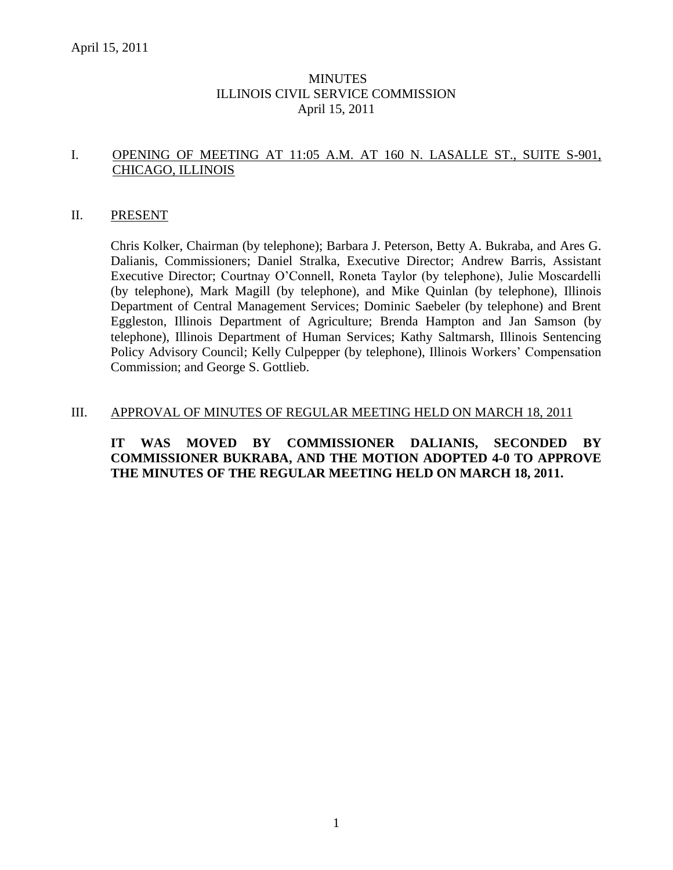### MINUTES ILLINOIS CIVIL SERVICE COMMISSION April 15, 2011

# I. OPENING OF MEETING AT 11:05 A.M. AT 160 N. LASALLE ST., SUITE S-901, CHICAGO, ILLINOIS

### II. PRESENT

Chris Kolker, Chairman (by telephone); Barbara J. Peterson, Betty A. Bukraba, and Ares G. Dalianis, Commissioners; Daniel Stralka, Executive Director; Andrew Barris, Assistant Executive Director; Courtnay O'Connell, Roneta Taylor (by telephone), Julie Moscardelli (by telephone), Mark Magill (by telephone), and Mike Quinlan (by telephone), Illinois Department of Central Management Services; Dominic Saebeler (by telephone) and Brent Eggleston, Illinois Department of Agriculture; Brenda Hampton and Jan Samson (by telephone), Illinois Department of Human Services; Kathy Saltmarsh, Illinois Sentencing Policy Advisory Council; Kelly Culpepper (by telephone), Illinois Workers' Compensation Commission; and George S. Gottlieb.

#### III. APPROVAL OF MINUTES OF REGULAR MEETING HELD ON MARCH 18, 2011

### **IT WAS MOVED BY COMMISSIONER DALIANIS, SECONDED BY COMMISSIONER BUKRABA, AND THE MOTION ADOPTED 4-0 TO APPROVE THE MINUTES OF THE REGULAR MEETING HELD ON MARCH 18, 2011.**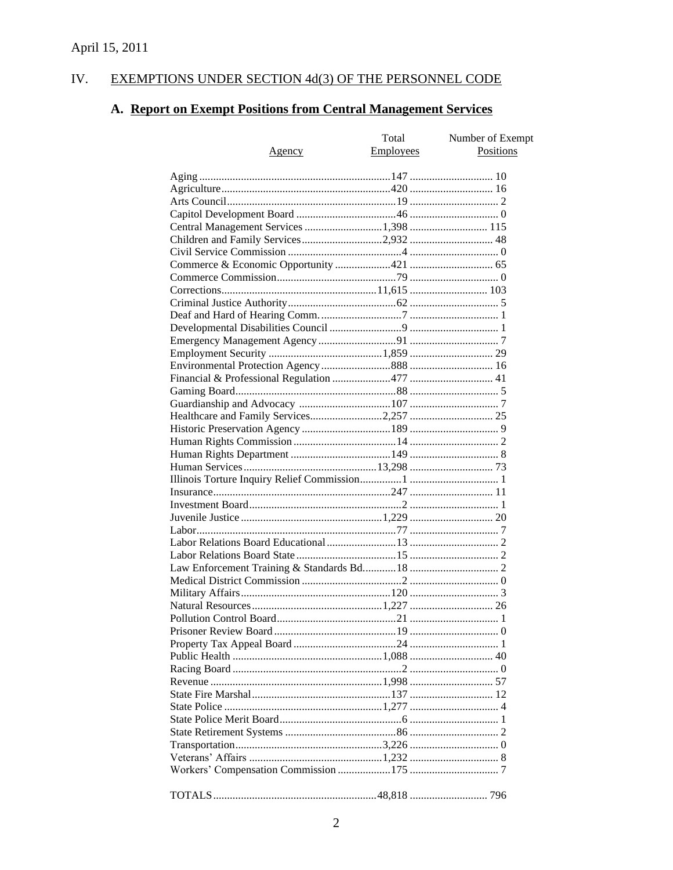#### IV. **EXEMPTIONS UNDER SECTION 4d(3) OF THE PERSONNEL CODE**

# A. Report on Exempt Positions from Central Management Services

|                                        | Total     | Number of Exempt |
|----------------------------------------|-----------|------------------|
| <u>Agency</u>                          | Employees | Positions        |
|                                        |           |                  |
|                                        |           |                  |
|                                        |           |                  |
|                                        |           |                  |
|                                        |           |                  |
| Central Management Services 1,398  115 |           |                  |
| Children and Family Services2,932  48  |           |                  |
|                                        |           |                  |
|                                        |           |                  |
|                                        |           |                  |
|                                        |           |                  |
|                                        |           |                  |
|                                        |           |                  |
|                                        |           |                  |
|                                        |           |                  |
|                                        |           |                  |
|                                        |           |                  |
|                                        |           |                  |
|                                        |           |                  |
|                                        |           |                  |
|                                        |           |                  |
|                                        |           |                  |
|                                        |           |                  |
|                                        |           |                  |
|                                        |           |                  |
|                                        |           |                  |
|                                        |           |                  |
|                                        |           |                  |
|                                        |           |                  |
|                                        |           |                  |
|                                        |           |                  |
|                                        |           |                  |
|                                        |           |                  |
|                                        |           |                  |
|                                        |           |                  |
|                                        |           |                  |
|                                        |           |                  |
|                                        |           |                  |
|                                        |           |                  |
|                                        |           |                  |
|                                        |           |                  |
|                                        |           |                  |
|                                        |           |                  |
|                                        |           |                  |
|                                        |           |                  |
|                                        |           |                  |
|                                        |           |                  |
|                                        |           |                  |
|                                        |           |                  |
|                                        |           |                  |
|                                        |           |                  |
|                                        |           |                  |
|                                        |           |                  |
|                                        |           |                  |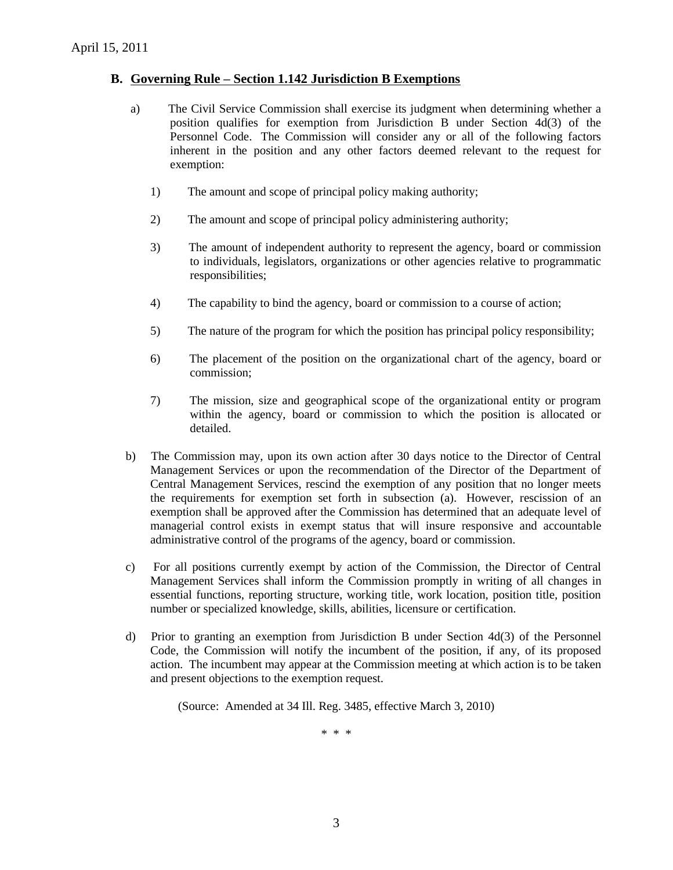### **B. Governing Rule – Section 1.142 Jurisdiction B Exemptions**

- a) The Civil Service Commission shall exercise its judgment when determining whether a position qualifies for exemption from Jurisdiction B under Section 4d(3) of the Personnel Code. The Commission will consider any or all of the following factors inherent in the position and any other factors deemed relevant to the request for exemption:
	- 1) The amount and scope of principal policy making authority;
	- 2) The amount and scope of principal policy administering authority;
	- 3) The amount of independent authority to represent the agency, board or commission to individuals, legislators, organizations or other agencies relative to programmatic responsibilities;
	- 4) The capability to bind the agency, board or commission to a course of action;
	- 5) The nature of the program for which the position has principal policy responsibility;
	- 6) The placement of the position on the organizational chart of the agency, board or commission;
	- 7) The mission, size and geographical scope of the organizational entity or program within the agency, board or commission to which the position is allocated or detailed.
- b) The Commission may, upon its own action after 30 days notice to the Director of Central Management Services or upon the recommendation of the Director of the Department of Central Management Services, rescind the exemption of any position that no longer meets the requirements for exemption set forth in subsection (a). However, rescission of an exemption shall be approved after the Commission has determined that an adequate level of managerial control exists in exempt status that will insure responsive and accountable administrative control of the programs of the agency, board or commission.
- c) For all positions currently exempt by action of the Commission, the Director of Central Management Services shall inform the Commission promptly in writing of all changes in essential functions, reporting structure, working title, work location, position title, position number or specialized knowledge, skills, abilities, licensure or certification.
- d) Prior to granting an exemption from Jurisdiction B under Section 4d(3) of the Personnel Code, the Commission will notify the incumbent of the position, if any, of its proposed action. The incumbent may appear at the Commission meeting at which action is to be taken and present objections to the exemption request.

(Source: Amended at 34 Ill. Reg. 3485, effective March 3, 2010)

\* \* \*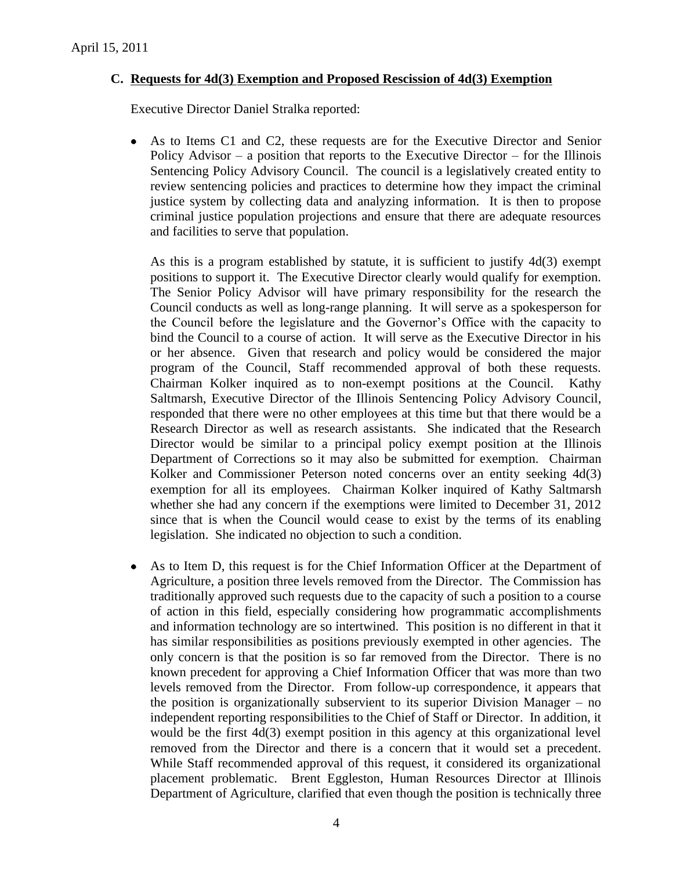# **C. Requests for 4d(3) Exemption and Proposed Rescission of 4d(3) Exemption**

Executive Director Daniel Stralka reported:

As to Items C1 and C2, these requests are for the Executive Director and Senior  $\bullet$ Policy Advisor – a position that reports to the Executive Director – for the Illinois Sentencing Policy Advisory Council. The council is a legislatively created entity to review sentencing policies and practices to determine how they impact the criminal justice system by collecting data and analyzing information. It is then to propose criminal justice population projections and ensure that there are adequate resources and facilities to serve that population.

As this is a program established by statute, it is sufficient to justify 4d(3) exempt positions to support it. The Executive Director clearly would qualify for exemption. The Senior Policy Advisor will have primary responsibility for the research the Council conducts as well as long-range planning. It will serve as a spokesperson for the Council before the legislature and the Governor's Office with the capacity to bind the Council to a course of action. It will serve as the Executive Director in his or her absence. Given that research and policy would be considered the major program of the Council, Staff recommended approval of both these requests. Chairman Kolker inquired as to non-exempt positions at the Council. Kathy Saltmarsh, Executive Director of the Illinois Sentencing Policy Advisory Council, responded that there were no other employees at this time but that there would be a Research Director as well as research assistants. She indicated that the Research Director would be similar to a principal policy exempt position at the Illinois Department of Corrections so it may also be submitted for exemption. Chairman Kolker and Commissioner Peterson noted concerns over an entity seeking  $4d(3)$ exemption for all its employees. Chairman Kolker inquired of Kathy Saltmarsh whether she had any concern if the exemptions were limited to December 31, 2012 since that is when the Council would cease to exist by the terms of its enabling legislation. She indicated no objection to such a condition.

As to Item D, this request is for the Chief Information Officer at the Department of  $\bullet$ Agriculture, a position three levels removed from the Director. The Commission has traditionally approved such requests due to the capacity of such a position to a course of action in this field, especially considering how programmatic accomplishments and information technology are so intertwined. This position is no different in that it has similar responsibilities as positions previously exempted in other agencies. The only concern is that the position is so far removed from the Director. There is no known precedent for approving a Chief Information Officer that was more than two levels removed from the Director. From follow-up correspondence, it appears that the position is organizationally subservient to its superior Division Manager – no independent reporting responsibilities to the Chief of Staff or Director. In addition, it would be the first 4d(3) exempt position in this agency at this organizational level removed from the Director and there is a concern that it would set a precedent. While Staff recommended approval of this request, it considered its organizational placement problematic. Brent Eggleston, Human Resources Director at Illinois Department of Agriculture, clarified that even though the position is technically three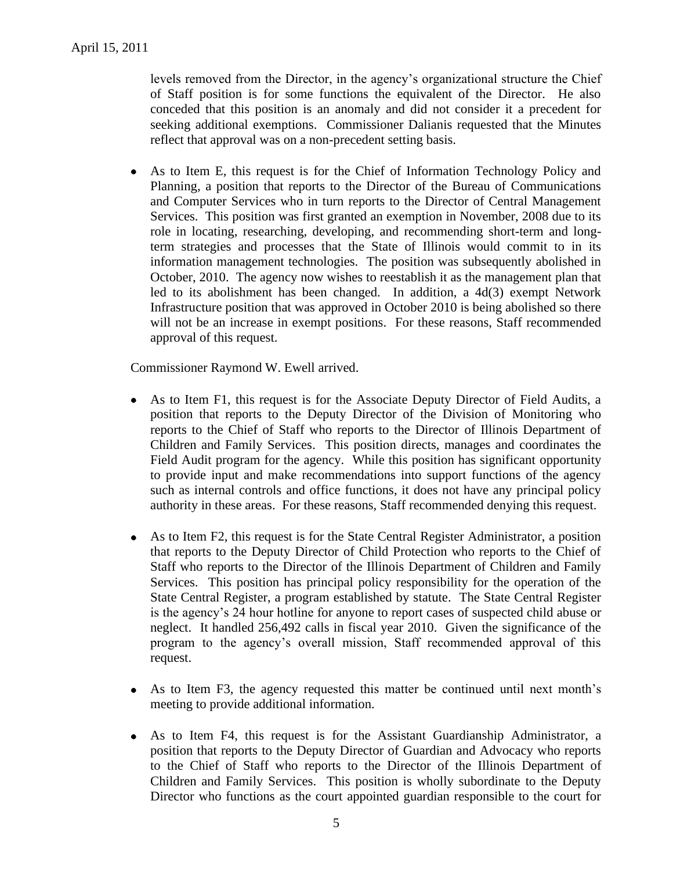levels removed from the Director, in the agency's organizational structure the Chief of Staff position is for some functions the equivalent of the Director. He also conceded that this position is an anomaly and did not consider it a precedent for seeking additional exemptions. Commissioner Dalianis requested that the Minutes reflect that approval was on a non-precedent setting basis.

As to Item E, this request is for the Chief of Information Technology Policy and  $\bullet$ Planning, a position that reports to the Director of the Bureau of Communications and Computer Services who in turn reports to the Director of Central Management Services. This position was first granted an exemption in November, 2008 due to its role in locating, researching, developing, and recommending short-term and longterm strategies and processes that the State of Illinois would commit to in its information management technologies. The position was subsequently abolished in October, 2010. The agency now wishes to reestablish it as the management plan that led to its abolishment has been changed. In addition, a 4d(3) exempt Network Infrastructure position that was approved in October 2010 is being abolished so there will not be an increase in exempt positions. For these reasons, Staff recommended approval of this request.

Commissioner Raymond W. Ewell arrived.

- As to Item F1, this request is for the Associate Deputy Director of Field Audits, a  $\bullet$ position that reports to the Deputy Director of the Division of Monitoring who reports to the Chief of Staff who reports to the Director of Illinois Department of Children and Family Services. This position directs, manages and coordinates the Field Audit program for the agency. While this position has significant opportunity to provide input and make recommendations into support functions of the agency such as internal controls and office functions, it does not have any principal policy authority in these areas. For these reasons, Staff recommended denying this request.
- As to Item F2, this request is for the State Central Register Administrator, a position  $\bullet$ that reports to the Deputy Director of Child Protection who reports to the Chief of Staff who reports to the Director of the Illinois Department of Children and Family Services. This position has principal policy responsibility for the operation of the State Central Register, a program established by statute. The State Central Register is the agency's 24 hour hotline for anyone to report cases of suspected child abuse or neglect. It handled 256,492 calls in fiscal year 2010. Given the significance of the program to the agency's overall mission, Staff recommended approval of this request.
- As to Item F3, the agency requested this matter be continued until next month's  $\bullet$ meeting to provide additional information.
- $\bullet$ As to Item F4, this request is for the Assistant Guardianship Administrator, a position that reports to the Deputy Director of Guardian and Advocacy who reports to the Chief of Staff who reports to the Director of the Illinois Department of Children and Family Services. This position is wholly subordinate to the Deputy Director who functions as the court appointed guardian responsible to the court for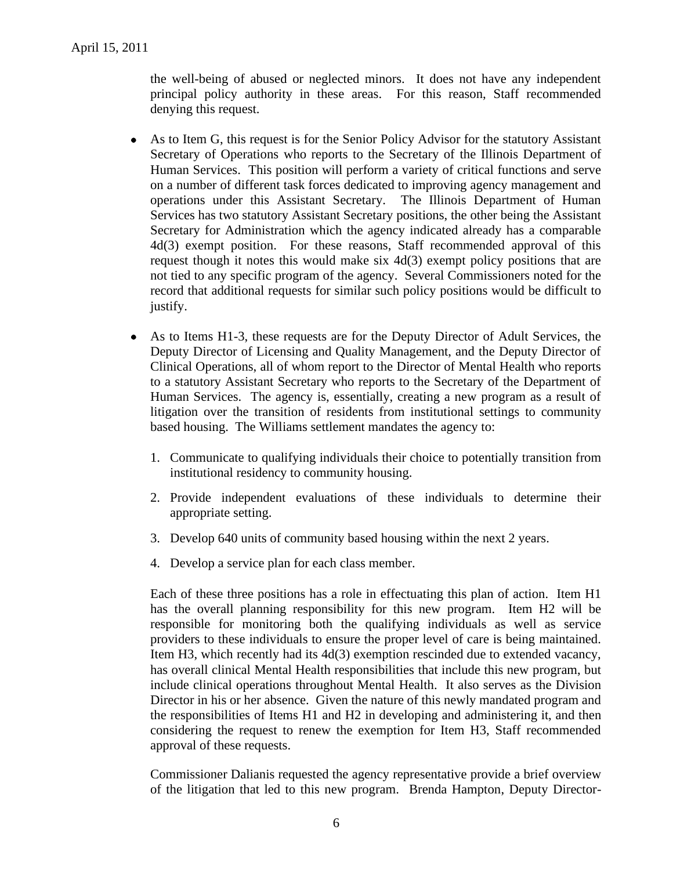the well-being of abused or neglected minors. It does not have any independent principal policy authority in these areas. For this reason, Staff recommended denying this request.

- As to Item G, this request is for the Senior Policy Advisor for the statutory Assistant  $\bullet$ Secretary of Operations who reports to the Secretary of the Illinois Department of Human Services. This position will perform a variety of critical functions and serve on a number of different task forces dedicated to improving agency management and operations under this Assistant Secretary. The Illinois Department of Human Services has two statutory Assistant Secretary positions, the other being the Assistant Secretary for Administration which the agency indicated already has a comparable 4d(3) exempt position. For these reasons, Staff recommended approval of this request though it notes this would make six 4d(3) exempt policy positions that are not tied to any specific program of the agency. Several Commissioners noted for the record that additional requests for similar such policy positions would be difficult to justify.
- As to Items H1-3, these requests are for the Deputy Director of Adult Services, the Deputy Director of Licensing and Quality Management, and the Deputy Director of Clinical Operations, all of whom report to the Director of Mental Health who reports to a statutory Assistant Secretary who reports to the Secretary of the Department of Human Services. The agency is, essentially, creating a new program as a result of litigation over the transition of residents from institutional settings to community based housing. The Williams settlement mandates the agency to:
	- 1. Communicate to qualifying individuals their choice to potentially transition from institutional residency to community housing.
	- 2. Provide independent evaluations of these individuals to determine their appropriate setting.
	- 3. Develop 640 units of community based housing within the next 2 years.
	- 4. Develop a service plan for each class member.

Each of these three positions has a role in effectuating this plan of action. Item H1 has the overall planning responsibility for this new program. Item H2 will be responsible for monitoring both the qualifying individuals as well as service providers to these individuals to ensure the proper level of care is being maintained. Item H3, which recently had its 4d(3) exemption rescinded due to extended vacancy, has overall clinical Mental Health responsibilities that include this new program, but include clinical operations throughout Mental Health. It also serves as the Division Director in his or her absence. Given the nature of this newly mandated program and the responsibilities of Items H1 and H2 in developing and administering it, and then considering the request to renew the exemption for Item H3, Staff recommended approval of these requests.

Commissioner Dalianis requested the agency representative provide a brief overview of the litigation that led to this new program. Brenda Hampton, Deputy Director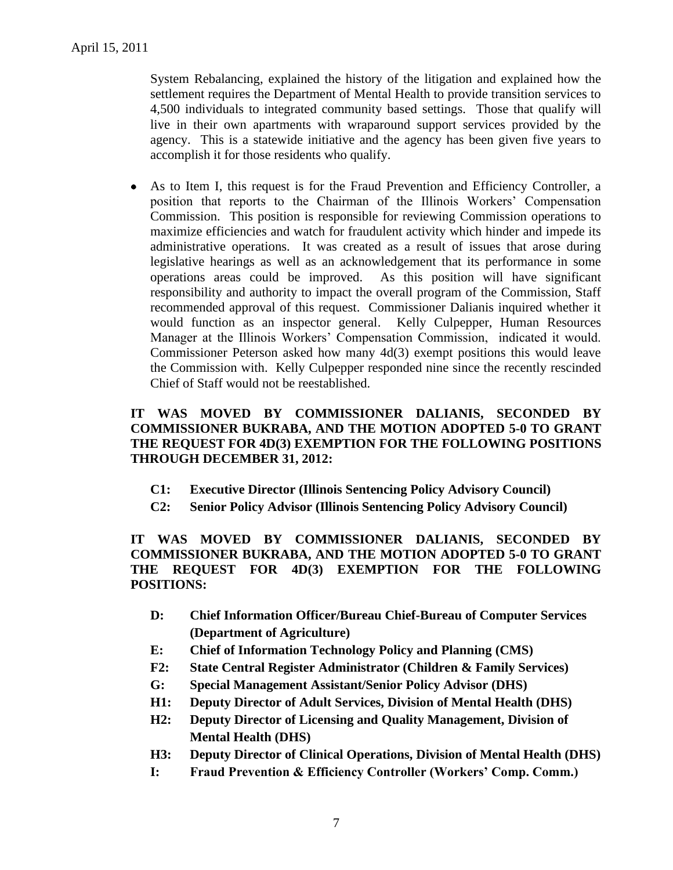System Rebalancing, explained the history of the litigation and explained how the settlement requires the Department of Mental Health to provide transition services to 4,500 individuals to integrated community based settings. Those that qualify will live in their own apartments with wraparound support services provided by the agency. This is a statewide initiative and the agency has been given five years to accomplish it for those residents who qualify.

As to Item I, this request is for the Fraud Prevention and Efficiency Controller, a  $\bullet$ position that reports to the Chairman of the Illinois Workers' Compensation Commission. This position is responsible for reviewing Commission operations to maximize efficiencies and watch for fraudulent activity which hinder and impede its administrative operations. It was created as a result of issues that arose during legislative hearings as well as an acknowledgement that its performance in some operations areas could be improved. As this position will have significant responsibility and authority to impact the overall program of the Commission, Staff recommended approval of this request. Commissioner Dalianis inquired whether it would function as an inspector general. Kelly Culpepper, Human Resources Manager at the Illinois Workers' Compensation Commission, indicated it would. Commissioner Peterson asked how many 4d(3) exempt positions this would leave the Commission with. Kelly Culpepper responded nine since the recently rescinded Chief of Staff would not be reestablished.

# **IT WAS MOVED BY COMMISSIONER DALIANIS, SECONDED BY COMMISSIONER BUKRABA, AND THE MOTION ADOPTED 5-0 TO GRANT THE REQUEST FOR 4D(3) EXEMPTION FOR THE FOLLOWING POSITIONS THROUGH DECEMBER 31, 2012:**

- **C1: Executive Director (Illinois Sentencing Policy Advisory Council)**
- **C2: Senior Policy Advisor (Illinois Sentencing Policy Advisory Council)**

**IT WAS MOVED BY COMMISSIONER DALIANIS, SECONDED BY COMMISSIONER BUKRABA, AND THE MOTION ADOPTED 5-0 TO GRANT THE REQUEST FOR 4D(3) EXEMPTION FOR THE FOLLOWING POSITIONS:**

- **D: Chief Information Officer/Bureau Chief-Bureau of Computer Services (Department of Agriculture)**
- **E: Chief of Information Technology Policy and Planning (CMS)**
- **F2: State Central Register Administrator (Children & Family Services)**
- **G: Special Management Assistant/Senior Policy Advisor (DHS)**
- **H1: Deputy Director of Adult Services, Division of Mental Health (DHS)**
- **H2: Deputy Director of Licensing and Quality Management, Division of Mental Health (DHS)**
- **H3: Deputy Director of Clinical Operations, Division of Mental Health (DHS)**
- **I: Fraud Prevention & Efficiency Controller (Workers' Comp. Comm.)**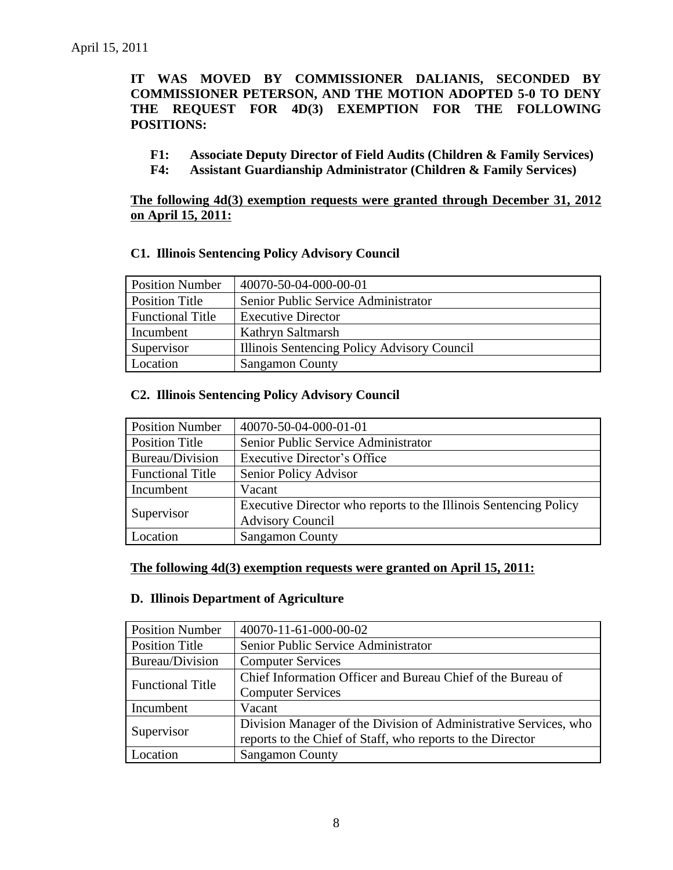# **IT WAS MOVED BY COMMISSIONER DALIANIS, SECONDED BY COMMISSIONER PETERSON, AND THE MOTION ADOPTED 5-0 TO DENY THE REQUEST FOR 4D(3) EXEMPTION FOR THE FOLLOWING POSITIONS:**

- **F1: Associate Deputy Director of Field Audits (Children & Family Services)**
- **F4: Assistant Guardianship Administrator (Children & Family Services)**

# **The following 4d(3) exemption requests were granted through December 31, 2012 on April 15, 2011:**

### **C1. Illinois Sentencing Policy Advisory Council**

| <b>Position Number</b>  | 40070-50-04-000-00-01                       |
|-------------------------|---------------------------------------------|
| <b>Position Title</b>   | Senior Public Service Administrator         |
| <b>Functional Title</b> | <b>Executive Director</b>                   |
| Incumbent               | Kathryn Saltmarsh                           |
| Supervisor              | Illinois Sentencing Policy Advisory Council |
| Location                | <b>Sangamon County</b>                      |

### **C2. Illinois Sentencing Policy Advisory Council**

| <b>Position Number</b>  | 40070-50-04-000-01-01                                            |
|-------------------------|------------------------------------------------------------------|
| <b>Position Title</b>   | Senior Public Service Administrator                              |
| Bureau/Division         | <b>Executive Director's Office</b>                               |
| <b>Functional Title</b> | Senior Policy Advisor                                            |
| Incumbent               | Vacant                                                           |
| Supervisor              | Executive Director who reports to the Illinois Sentencing Policy |
|                         | <b>Advisory Council</b>                                          |
| Location                | <b>Sangamon County</b>                                           |

### **The following 4d(3) exemption requests were granted on April 15, 2011:**

#### **D. Illinois Department of Agriculture**

| <b>Position Number</b>  | 40070-11-61-000-00-02                                                                                                          |
|-------------------------|--------------------------------------------------------------------------------------------------------------------------------|
| <b>Position Title</b>   | Senior Public Service Administrator                                                                                            |
| Bureau/Division         | <b>Computer Services</b>                                                                                                       |
| <b>Functional Title</b> | Chief Information Officer and Bureau Chief of the Bureau of<br><b>Computer Services</b>                                        |
| Incumbent               | Vacant                                                                                                                         |
| Supervisor              | Division Manager of the Division of Administrative Services, who<br>reports to the Chief of Staff, who reports to the Director |
| Location                | <b>Sangamon County</b>                                                                                                         |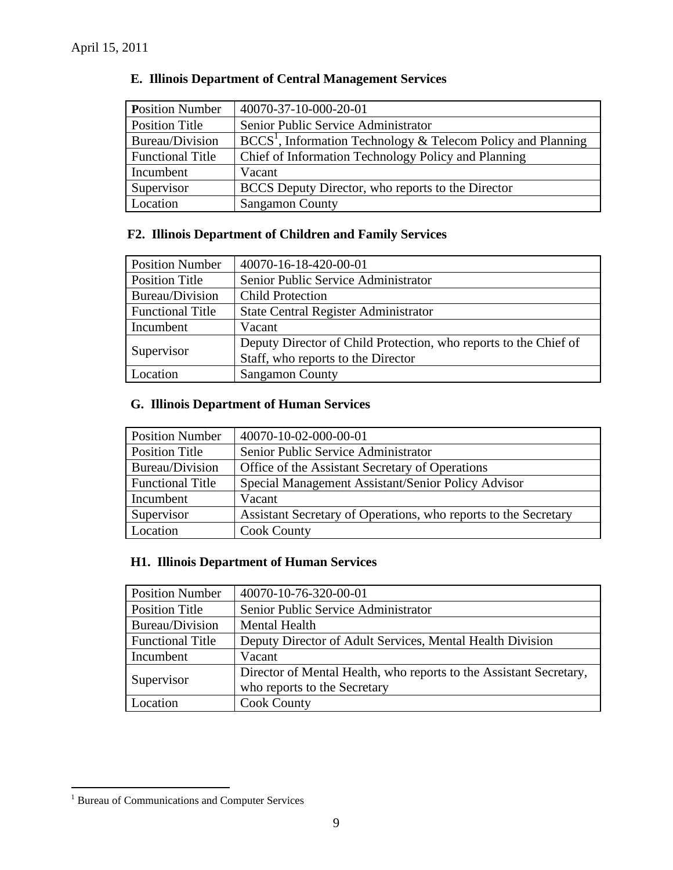| <b>Position Number</b>  | 40070-37-10-000-20-01                                                  |
|-------------------------|------------------------------------------------------------------------|
| <b>Position Title</b>   | Senior Public Service Administrator                                    |
| Bureau/Division         | $\text{BCCS}^1$ , Information Technology & Telecom Policy and Planning |
| <b>Functional Title</b> | Chief of Information Technology Policy and Planning                    |
| Incumbent               | Vacant                                                                 |
| Supervisor              | BCCS Deputy Director, who reports to the Director                      |
| Location                | <b>Sangamon County</b>                                                 |

# **E. Illinois Department of Central Management Services**

# **F2. Illinois Department of Children and Family Services**

| <b>Position Number</b>  | 40070-16-18-420-00-01                                            |
|-------------------------|------------------------------------------------------------------|
| <b>Position Title</b>   | Senior Public Service Administrator                              |
| Bureau/Division         | <b>Child Protection</b>                                          |
| <b>Functional Title</b> | <b>State Central Register Administrator</b>                      |
| Incumbent               | Vacant                                                           |
| Supervisor              | Deputy Director of Child Protection, who reports to the Chief of |
|                         | Staff, who reports to the Director                               |
| Location                | <b>Sangamon County</b>                                           |

# **G. Illinois Department of Human Services**

| <b>Position Number</b>  | 40070-10-02-000-00-01                                           |
|-------------------------|-----------------------------------------------------------------|
| <b>Position Title</b>   | Senior Public Service Administrator                             |
| <b>Bureau/Division</b>  | Office of the Assistant Secretary of Operations                 |
| <b>Functional Title</b> | Special Management Assistant/Senior Policy Advisor              |
| Incumbent               | Vacant                                                          |
| Supervisor              | Assistant Secretary of Operations, who reports to the Secretary |
| Location                | <b>Cook County</b>                                              |

# **H1. Illinois Department of Human Services**

| <b>Position Number</b>  | 40070-10-76-320-00-01                                              |
|-------------------------|--------------------------------------------------------------------|
| <b>Position Title</b>   | Senior Public Service Administrator                                |
| Bureau/Division         | <b>Mental Health</b>                                               |
| <b>Functional Title</b> | Deputy Director of Adult Services, Mental Health Division          |
| Incumbent               | Vacant                                                             |
| Supervisor              | Director of Mental Health, who reports to the Assistant Secretary, |
|                         | who reports to the Secretary                                       |
| Location                | <b>Cook County</b>                                                 |

 $\overline{a}$ <sup>1</sup> Bureau of Communications and Computer Services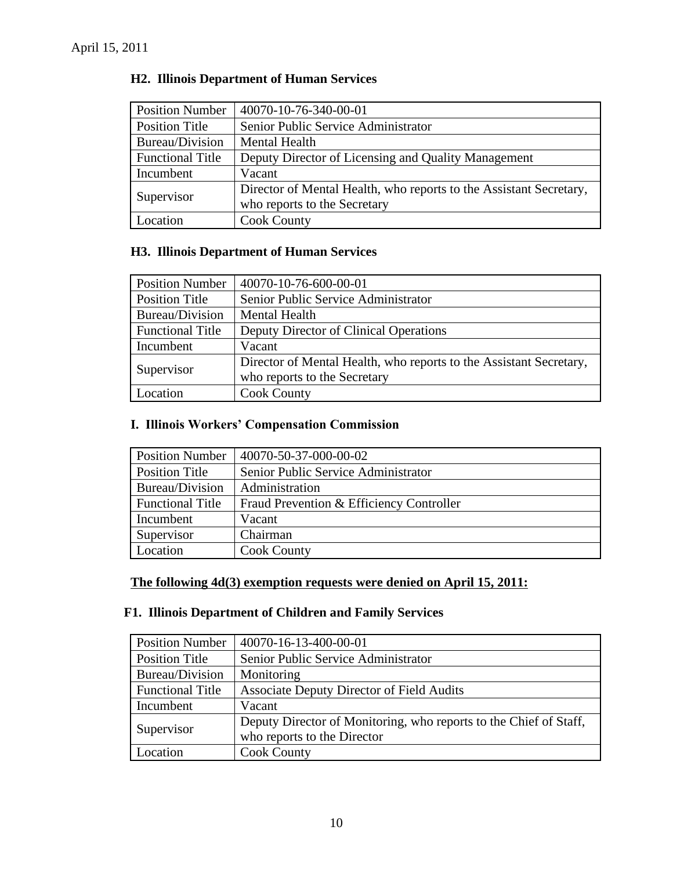| <b>Position Number</b>  | 40070-10-76-340-00-01                                              |
|-------------------------|--------------------------------------------------------------------|
| <b>Position Title</b>   | Senior Public Service Administrator                                |
| Bureau/Division         | <b>Mental Health</b>                                               |
| <b>Functional Title</b> | Deputy Director of Licensing and Quality Management                |
| Incumbent               | Vacant                                                             |
| Supervisor              | Director of Mental Health, who reports to the Assistant Secretary, |
|                         | who reports to the Secretary                                       |
| Location                | <b>Cook County</b>                                                 |

# **H2. Illinois Department of Human Services**

# **H3. Illinois Department of Human Services**

| <b>Position Number</b>  | 40070-10-76-600-00-01                                              |
|-------------------------|--------------------------------------------------------------------|
| Position Title          | Senior Public Service Administrator                                |
| Bureau/Division         | <b>Mental Health</b>                                               |
| <b>Functional Title</b> | Deputy Director of Clinical Operations                             |
| Incumbent               | Vacant                                                             |
| Supervisor              | Director of Mental Health, who reports to the Assistant Secretary, |
|                         | who reports to the Secretary                                       |
| Location                | <b>Cook County</b>                                                 |

# **I. Illinois Workers' Compensation Commission**

| <b>Position Number</b>  | 40070-50-37-000-00-02                    |
|-------------------------|------------------------------------------|
| Position Title          | Senior Public Service Administrator      |
| Bureau/Division         | Administration                           |
| <b>Functional Title</b> | Fraud Prevention & Efficiency Controller |
| Incumbent               | Vacant                                   |
| Supervisor              | Chairman                                 |
| Location                | <b>Cook County</b>                       |

# **The following 4d(3) exemption requests were denied on April 15, 2011:**

# **F1. Illinois Department of Children and Family Services**

| <b>Position Number</b>  | 40070-16-13-400-00-01                                             |
|-------------------------|-------------------------------------------------------------------|
| <b>Position Title</b>   | Senior Public Service Administrator                               |
| Bureau/Division         | Monitoring                                                        |
| <b>Functional Title</b> | <b>Associate Deputy Director of Field Audits</b>                  |
| Incumbent               | Vacant                                                            |
| Supervisor              | Deputy Director of Monitoring, who reports to the Chief of Staff, |
|                         | who reports to the Director                                       |
| Location                | <b>Cook County</b>                                                |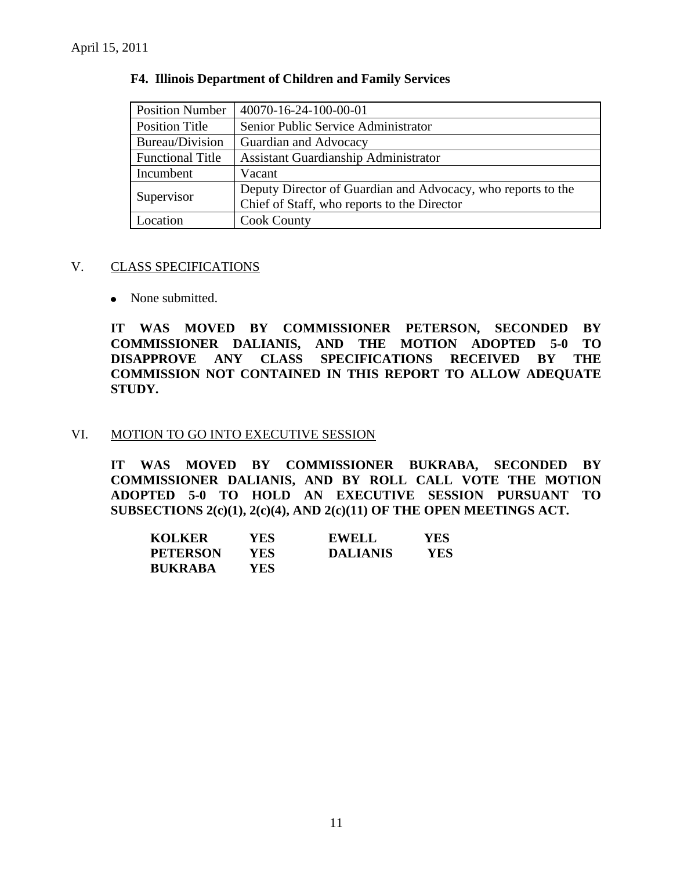| <b>Position Number</b>  | 40070-16-24-100-00-01                                        |  |
|-------------------------|--------------------------------------------------------------|--|
| Position Title          | Senior Public Service Administrator                          |  |
| Bureau/Division         | Guardian and Advocacy                                        |  |
| <b>Functional Title</b> | <b>Assistant Guardianship Administrator</b>                  |  |
| Incumbent               | Vacant                                                       |  |
| Supervisor              | Deputy Director of Guardian and Advocacy, who reports to the |  |
|                         | Chief of Staff, who reports to the Director                  |  |
| Location                | <b>Cook County</b>                                           |  |

### **F4. Illinois Department of Children and Family Services**

### V. CLASS SPECIFICATIONS

• None submitted.

**IT WAS MOVED BY COMMISSIONER PETERSON, SECONDED BY COMMISSIONER DALIANIS, AND THE MOTION ADOPTED 5-0 TO DISAPPROVE ANY CLASS SPECIFICATIONS RECEIVED BY THE COMMISSION NOT CONTAINED IN THIS REPORT TO ALLOW ADEQUATE STUDY.** 

### VI. MOTION TO GO INTO EXECUTIVE SESSION

**IT WAS MOVED BY COMMISSIONER BUKRABA, SECONDED BY COMMISSIONER DALIANIS, AND BY ROLL CALL VOTE THE MOTION ADOPTED 5-0 TO HOLD AN EXECUTIVE SESSION PURSUANT TO SUBSECTIONS 2(c)(1), 2(c)(4), AND 2(c)(11) OF THE OPEN MEETINGS ACT.** 

| <b>KOLKER</b>   | YES. | <b>EWELL</b>    | YES |
|-----------------|------|-----------------|-----|
| <b>PETERSON</b> | YES. | <b>DALIANIS</b> | YES |
| <b>BUKRABA</b>  | YES. |                 |     |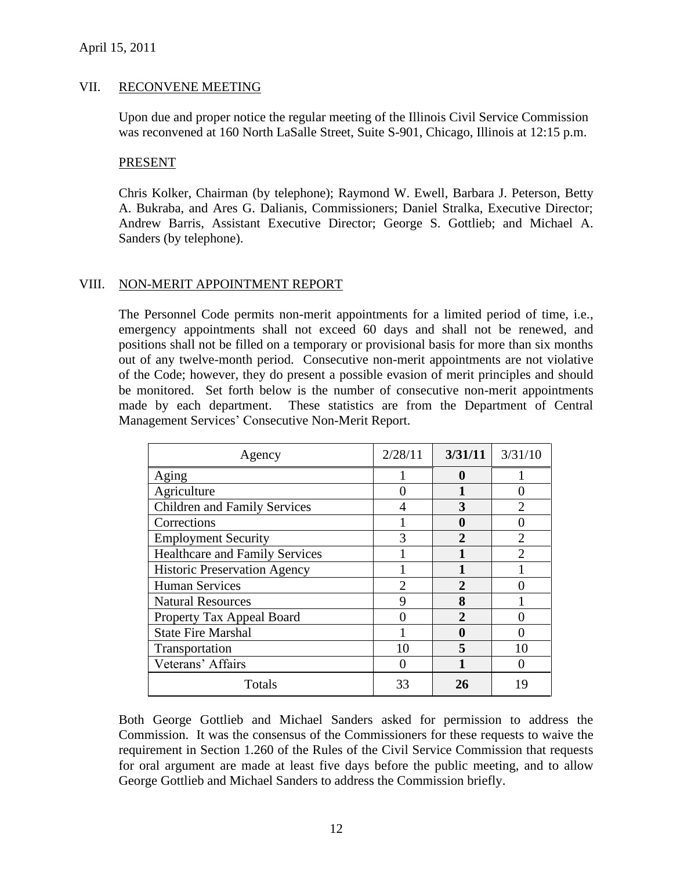### VII. RECONVENE MEETING

Upon due and proper notice the regular meeting of the Illinois Civil Service Commission was reconvened at 160 North LaSalle Street, Suite S-901, Chicago, Illinois at 12:15 p.m.

#### PRESENT

Chris Kolker, Chairman (by telephone); Raymond W. Ewell, Barbara J. Peterson, Betty A. Bukraba, and Ares G. Dalianis, Commissioners; Daniel Stralka, Executive Director; Andrew Barris, Assistant Executive Director; George S. Gottlieb; and Michael A. Sanders (by telephone).

### VIII. NON-MERIT APPOINTMENT REPORT

The Personnel Code permits non-merit appointments for a limited period of time, i.e., emergency appointments shall not exceed 60 days and shall not be renewed, and positions shall not be filled on a temporary or provisional basis for more than six months out of any twelve-month period. Consecutive non-merit appointments are not violative of the Code; however, they do present a possible evasion of merit principles and should be monitored. Set forth below is the number of consecutive non-merit appointments made by each department. These statistics are from the Department of Central Management Services' Consecutive Non-Merit Report.

| Agency                                | 2/28/11       | 3/31/11               | 3/31/10        |
|---------------------------------------|---------------|-----------------------|----------------|
| Aging                                 |               | 0                     |                |
| Agriculture                           |               |                       |                |
| <b>Children and Family Services</b>   |               | 3                     |                |
| Corrections                           |               |                       |                |
| <b>Employment Security</b>            | 3             | $\mathcal{D}_{\cdot}$ | $\mathfrak{D}$ |
| <b>Healthcare and Family Services</b> |               |                       |                |
| <b>Historic Preservation Agency</b>   |               |                       |                |
| <b>Human Services</b>                 | $\mathcal{D}$ | $\mathbf{2}$          |                |
| <b>Natural Resources</b>              | Q             | 8                     |                |
| Property Tax Appeal Board             |               |                       |                |
| <b>State Fire Marshal</b>             |               | 0                     |                |
| Transportation                        | 10            |                       |                |
| Veterans' Affairs                     |               |                       |                |
| Totals                                | 33            | 26                    |                |

Both George Gottlieb and Michael Sanders asked for permission to address the Commission. It was the consensus of the Commissioners for these requests to waive the requirement in Section 1.260 of the Rules of the Civil Service Commission that requests for oral argument are made at least five days before the public meeting, and to allow George Gottlieb and Michael Sanders to address the Commission briefly.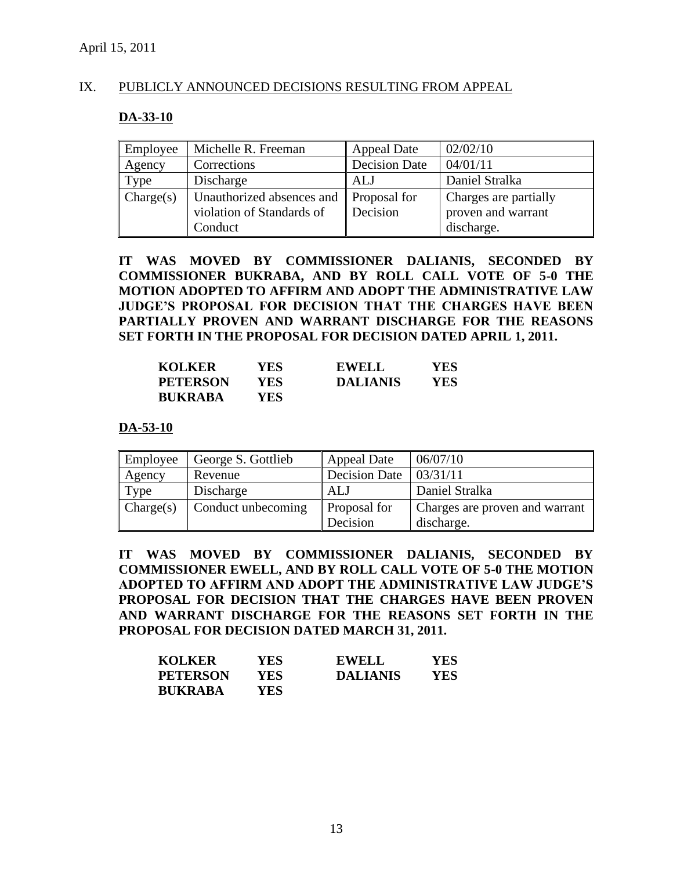### IX. PUBLICLY ANNOUNCED DECISIONS RESULTING FROM APPEAL

### **DA-33-10**

| Employee  | Michelle R. Freeman       | <b>Appeal Date</b>   | 02/02/10              |
|-----------|---------------------------|----------------------|-----------------------|
| Agency    | Corrections               | <b>Decision Date</b> | 04/01/11              |
| Type      | Discharge                 | ALJ                  | Daniel Stralka        |
| Change(s) | Unauthorized absences and | Proposal for         | Charges are partially |
|           | violation of Standards of | Decision             | proven and warrant    |
|           | Conduct                   |                      | discharge.            |

**IT WAS MOVED BY COMMISSIONER DALIANIS, SECONDED BY COMMISSIONER BUKRABA, AND BY ROLL CALL VOTE OF 5-0 THE MOTION ADOPTED TO AFFIRM AND ADOPT THE ADMINISTRATIVE LAW JUDGE'S PROPOSAL FOR DECISION THAT THE CHARGES HAVE BEEN PARTIALLY PROVEN AND WARRANT DISCHARGE FOR THE REASONS SET FORTH IN THE PROPOSAL FOR DECISION DATED APRIL 1, 2011.** 

| <b>KOLKER</b>   | YES.       | <b>EWELL</b>    | YES |
|-----------------|------------|-----------------|-----|
| <b>PETERSON</b> | YES.       | <b>DALIANIS</b> | YES |
| <b>BUKRABA</b>  | <b>YES</b> |                 |     |

### **DA-53-10**

| Employee  | George S. Gottlieb | <b>Appeal Date</b>   | 06/07/10                       |
|-----------|--------------------|----------------------|--------------------------------|
| Agency    | Revenue            | <b>Decision Date</b> | 03/31/11                       |
| Type      | Discharge          | ALJ                  | Daniel Stralka                 |
| Change(s) | Conduct unbecoming | Proposal for         | Charges are proven and warrant |
|           |                    | Decision             | discharge.                     |

**IT WAS MOVED BY COMMISSIONER DALIANIS, SECONDED BY COMMISSIONER EWELL, AND BY ROLL CALL VOTE OF 5-0 THE MOTION ADOPTED TO AFFIRM AND ADOPT THE ADMINISTRATIVE LAW JUDGE'S PROPOSAL FOR DECISION THAT THE CHARGES HAVE BEEN PROVEN AND WARRANT DISCHARGE FOR THE REASONS SET FORTH IN THE PROPOSAL FOR DECISION DATED MARCH 31, 2011.** 

| <b>KOLKER</b>   | YES. | <b>EWELL</b>    | YES |
|-----------------|------|-----------------|-----|
| <b>PETERSON</b> | YES- | <b>DALIANIS</b> | YES |
| <b>BUKRABA</b>  | YES. |                 |     |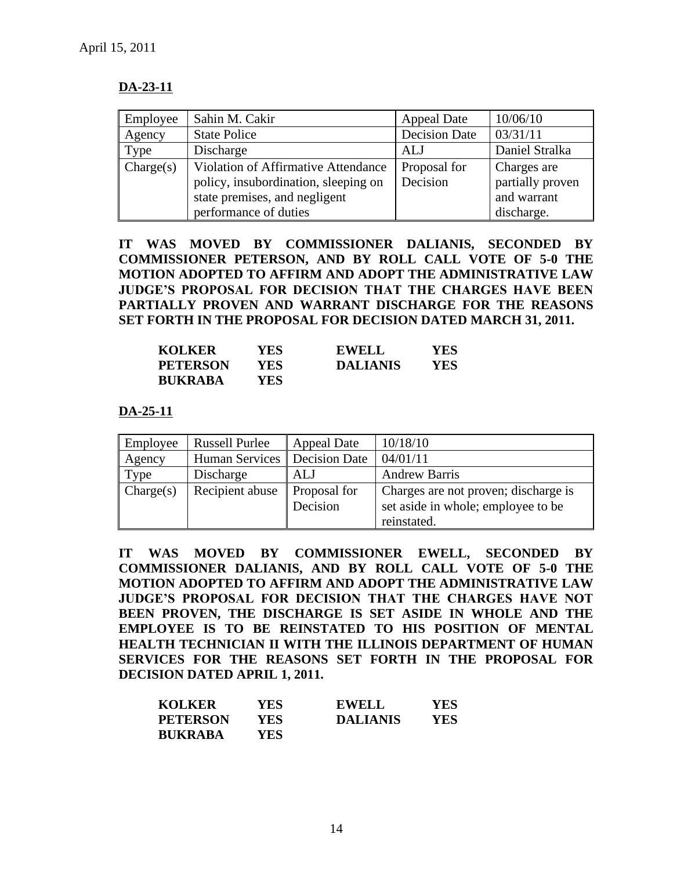# **DA-23-11**

| Employee  | Sahin M. Cakir                                                                                                                        | Appeal Date              | 10/06/10                                                     |
|-----------|---------------------------------------------------------------------------------------------------------------------------------------|--------------------------|--------------------------------------------------------------|
| Agency    | <b>State Police</b>                                                                                                                   | <b>Decision Date</b>     | 03/31/11                                                     |
| Type      | Discharge                                                                                                                             | <b>ALJ</b>               | Daniel Stralka                                               |
| Change(s) | Violation of Affirmative Attendance<br>policy, insubordination, sleeping on<br>state premises, and negligent<br>performance of duties | Proposal for<br>Decision | Charges are<br>partially proven<br>and warrant<br>discharge. |

**IT WAS MOVED BY COMMISSIONER DALIANIS, SECONDED BY COMMISSIONER PETERSON, AND BY ROLL CALL VOTE OF 5-0 THE MOTION ADOPTED TO AFFIRM AND ADOPT THE ADMINISTRATIVE LAW JUDGE'S PROPOSAL FOR DECISION THAT THE CHARGES HAVE BEEN PARTIALLY PROVEN AND WARRANT DISCHARGE FOR THE REASONS SET FORTH IN THE PROPOSAL FOR DECISION DATED MARCH 31, 2011.** 

| <b>KOLKER</b>   | YES  | <b>EWELL</b>    | YES |
|-----------------|------|-----------------|-----|
| <b>PETERSON</b> | YES  | <b>DALIANIS</b> | YES |
| <b>BUKRABA</b>  | YES. |                 |     |

**DA-25-11**

| Employee  | <b>Russell Purlee</b> | <b>Appeal Date</b>       | 10/18/10                                                                   |
|-----------|-----------------------|--------------------------|----------------------------------------------------------------------------|
| Agency    | Human Services        | <b>Decision Date</b>     | 04/01/11                                                                   |
| Type      | Discharge             | ALJ                      | <b>Andrew Barris</b>                                                       |
| Change(s) | Recipient abuse       | Proposal for<br>Decision | Charges are not proven; discharge is<br>set aside in whole; employee to be |
|           |                       |                          | reinstated.                                                                |

**IT WAS MOVED BY COMMISSIONER EWELL, SECONDED BY COMMISSIONER DALIANIS, AND BY ROLL CALL VOTE OF 5-0 THE MOTION ADOPTED TO AFFIRM AND ADOPT THE ADMINISTRATIVE LAW JUDGE'S PROPOSAL FOR DECISION THAT THE CHARGES HAVE NOT BEEN PROVEN, THE DISCHARGE IS SET ASIDE IN WHOLE AND THE EMPLOYEE IS TO BE REINSTATED TO HIS POSITION OF MENTAL HEALTH TECHNICIAN II WITH THE ILLINOIS DEPARTMENT OF HUMAN SERVICES FOR THE REASONS SET FORTH IN THE PROPOSAL FOR DECISION DATED APRIL 1, 2011.**

| <b>KOLKER</b>   | YES.       | <b>EWELL</b>    | YES |
|-----------------|------------|-----------------|-----|
| <b>PETERSON</b> | <b>YES</b> | <b>DALIANIS</b> | YES |
| <b>BUKRABA</b>  | <b>YES</b> |                 |     |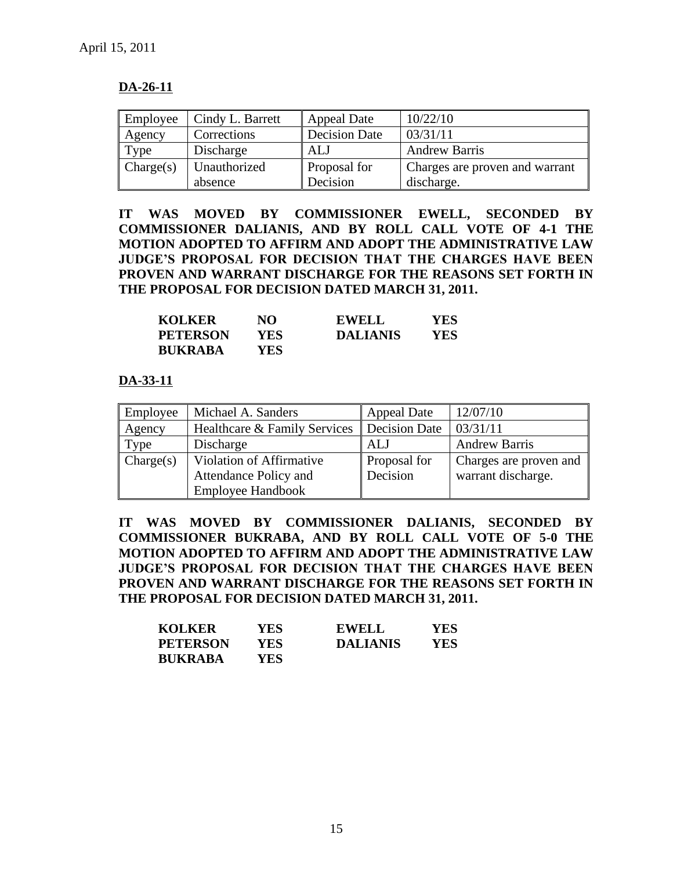# **DA-26-11**

| Employee  | Cindy L. Barrett | <b>Appeal Date</b>   | 10/22/10                       |
|-----------|------------------|----------------------|--------------------------------|
| Agency    | Corrections      | <b>Decision Date</b> | 03/31/11                       |
| Type      | Discharge        | ALJ                  | <b>Andrew Barris</b>           |
| Change(s) | Unauthorized     | <b>Proposal for</b>  | Charges are proven and warrant |
|           | absence          | Decision             | discharge.                     |

**IT WAS MOVED BY COMMISSIONER EWELL, SECONDED BY COMMISSIONER DALIANIS, AND BY ROLL CALL VOTE OF 4-1 THE MOTION ADOPTED TO AFFIRM AND ADOPT THE ADMINISTRATIVE LAW JUDGE'S PROPOSAL FOR DECISION THAT THE CHARGES HAVE BEEN PROVEN AND WARRANT DISCHARGE FOR THE REASONS SET FORTH IN THE PROPOSAL FOR DECISION DATED MARCH 31, 2011.** 

| <b>KOLKER</b>   | NО   | <b>EWELL</b>    | YES |
|-----------------|------|-----------------|-----|
| <b>PETERSON</b> | YES  | <b>DALIANIS</b> | YES |
| <b>BUKRABA</b>  | YES. |                 |     |

# **DA-33-11**

| Employee  | Michael A. Sanders                           | <b>Appeal Date</b>  | 12/07/10               |
|-----------|----------------------------------------------|---------------------|------------------------|
| Agency    | Healthcare & Family Services   Decision Date |                     | 03/31/11               |
| Type      | Discharge                                    | ALJ                 | <b>Andrew Barris</b>   |
| Change(s) | Violation of Affirmative                     | <b>Proposal</b> for | Charges are proven and |
|           | Attendance Policy and                        | Decision            | warrant discharge.     |
|           | <b>Employee Handbook</b>                     |                     |                        |

**IT WAS MOVED BY COMMISSIONER DALIANIS, SECONDED BY COMMISSIONER BUKRABA, AND BY ROLL CALL VOTE OF 5-0 THE MOTION ADOPTED TO AFFIRM AND ADOPT THE ADMINISTRATIVE LAW JUDGE'S PROPOSAL FOR DECISION THAT THE CHARGES HAVE BEEN PROVEN AND WARRANT DISCHARGE FOR THE REASONS SET FORTH IN THE PROPOSAL FOR DECISION DATED MARCH 31, 2011.** 

| <b>KOLKER</b>   | YES  | <b>EWELL</b>    | YES |
|-----------------|------|-----------------|-----|
| <b>PETERSON</b> | YES  | <b>DALIANIS</b> | YES |
| <b>BUKRABA</b>  | YES. |                 |     |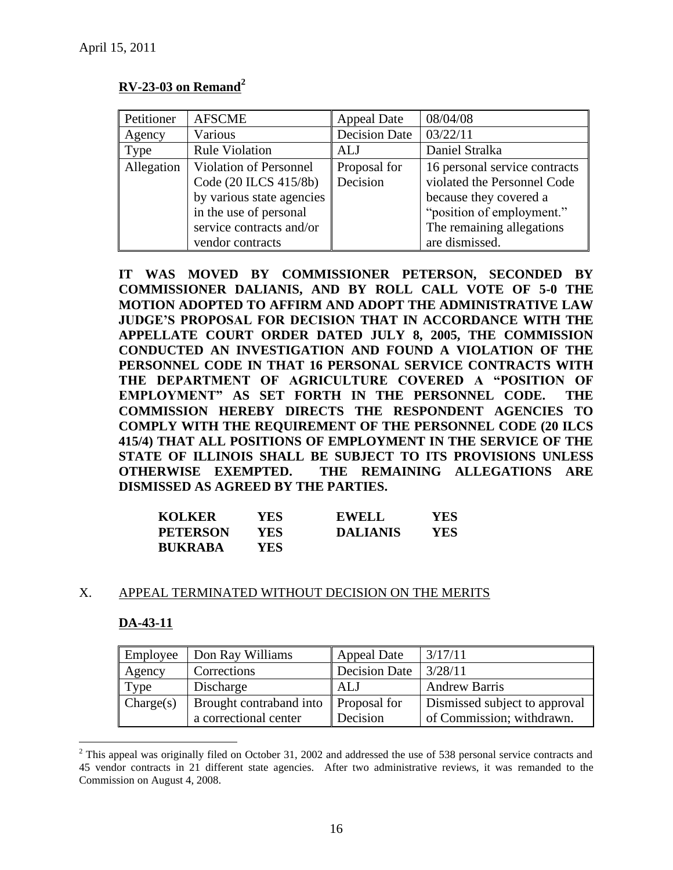# **RV-23-03 on Remand<sup>2</sup>**

| Petitioner | <b>AFSCME</b>                 | <b>Appeal Date</b>   | 08/04/08                      |
|------------|-------------------------------|----------------------|-------------------------------|
| Agency     | Various                       | <b>Decision Date</b> | 03/22/11                      |
| Type       | <b>Rule Violation</b>         | ALJ                  | Daniel Stralka                |
| Allegation | <b>Violation of Personnel</b> | Proposal for         | 16 personal service contracts |
|            | Code (20 ILCS 415/8b)         | Decision             | violated the Personnel Code   |
|            | by various state agencies     |                      | because they covered a        |
|            | in the use of personal        |                      | "position of employment."     |
|            | service contracts and/or      |                      | The remaining allegations     |
|            | vendor contracts              |                      | are dismissed.                |

**IT WAS MOVED BY COMMISSIONER PETERSON, SECONDED BY COMMISSIONER DALIANIS, AND BY ROLL CALL VOTE OF 5-0 THE MOTION ADOPTED TO AFFIRM AND ADOPT THE ADMINISTRATIVE LAW JUDGE'S PROPOSAL FOR DECISION THAT IN ACCORDANCE WITH THE APPELLATE COURT ORDER DATED JULY 8, 2005, THE COMMISSION CONDUCTED AN INVESTIGATION AND FOUND A VIOLATION OF THE PERSONNEL CODE IN THAT 16 PERSONAL SERVICE CONTRACTS WITH THE DEPARTMENT OF AGRICULTURE COVERED A "POSITION OF EMPLOYMENT" AS SET FORTH IN THE PERSONNEL CODE. THE COMMISSION HEREBY DIRECTS THE RESPONDENT AGENCIES TO COMPLY WITH THE REQUIREMENT OF THE PERSONNEL CODE (20 ILCS 415/4) THAT ALL POSITIONS OF EMPLOYMENT IN THE SERVICE OF THE STATE OF ILLINOIS SHALL BE SUBJECT TO ITS PROVISIONS UNLESS OTHERWISE EXEMPTED. THE REMAINING ALLEGATIONS ARE DISMISSED AS AGREED BY THE PARTIES.**

| <b>KOLKER</b>   | YES  | <b>EWELL</b>    | <b>YES</b> |
|-----------------|------|-----------------|------------|
| <b>PETERSON</b> | YES- | <b>DALIANIS</b> | YES        |
| <b>BUKRABA</b>  | YES. |                 |            |

### X. APPEAL TERMINATED WITHOUT DECISION ON THE MERITS

### **DA-43-11**

 $\overline{a}$ 

| Employee  | Don Ray Williams                                              | <b>Appeal Date</b> | 3/17/11                                                    |
|-----------|---------------------------------------------------------------|--------------------|------------------------------------------------------------|
| Agency    | Corrections                                                   | Decision Date      | 3/28/11                                                    |
| Type      | Discharge                                                     | I ALJ              | <b>Andrew Barris</b>                                       |
| Charge(s) | Brought contraband into Proposal for<br>a correctional center | Decision           | Dismissed subject to approval<br>of Commission; withdrawn. |

 $2$  This appeal was originally filed on October 31, 2002 and addressed the use of 538 personal service contracts and 45 vendor contracts in 21 different state agencies. After two administrative reviews, it was remanded to the Commission on August 4, 2008.